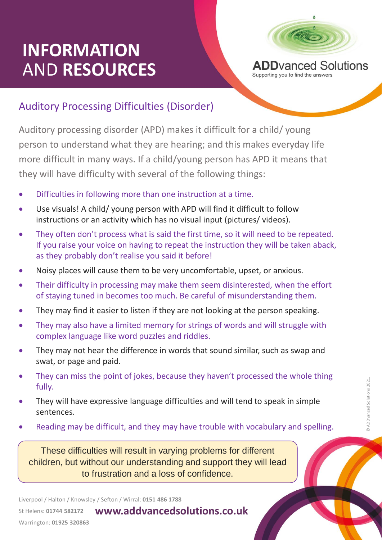## **INFORMATION** AND **RESOURCES**



Supporting you to find the answers

## Auditory Processing Difficulties (Disorder)

Auditory processing disorder (APD) makes it difficult for a child/ young person to understand what they are hearing; and this makes everyday life more difficult in many ways. If a child/young person has APD it means that they will have difficulty with several of the following things:

- Difficulties in following more than one instruction at a time.
- Use visuals! A child/ young person with APD will find it difficult to follow instructions or an activity which has no visual input (pictures/ videos).
- They often don't process what is said the first time, so it will need to be repeated. If you raise your voice on having to repeat the instruction they will be taken aback, as they probably don't realise you said it before!
- Noisy places will cause them to be very uncomfortable, upset, or anxious.
- Their difficulty in processing may make them seem disinterested, when the effort of staying tuned in becomes too much. Be careful of misunderstanding them.
- They may find it easier to listen if they are not looking at the person speaking.
- They may also have a limited memory for strings of words and will struggle with complex language like word puzzles and riddles.
- They may not hear the difference in words that sound similar, such as swap and swat, or page and paid.
- They can miss the point of jokes, because they haven't processed the whole thing fully.
- They win have expressive language unnounces and will tend to speak in simple<br>sentences.<br>• Reading may be difficult, and they may have trouble with vocabulary and spelling. • They will have expressive language difficulties and will tend to speak in simple sentences.
- 

These difficulties will result in varying problems for different children, but without our understanding and support they will lead to frustration and a loss of confidence.